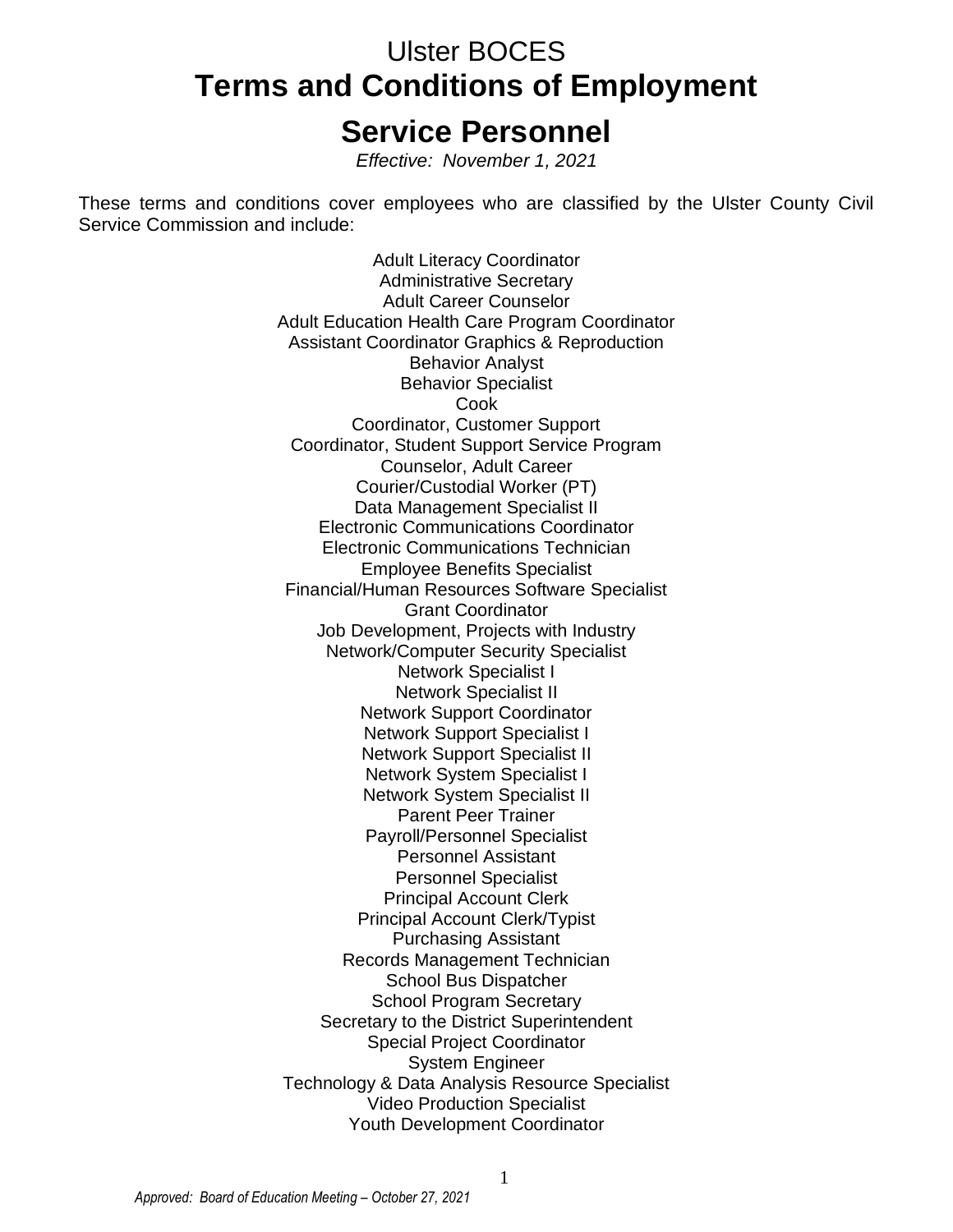# Ulster BOCES **Terms and Conditions of Employment Service Personnel**

*Effective: November 1, 2021*

These terms and conditions cover employees who are classified by the Ulster County Civil Service Commission and include:

> Adult Literacy Coordinator Administrative Secretary Adult Career Counselor Adult Education Health Care Program Coordinator Assistant Coordinator Graphics & Reproduction Behavior Analyst Behavior Specialist Cook Coordinator, Customer Support Coordinator, Student Support Service Program Counselor, Adult Career Courier/Custodial Worker (PT) Data Management Specialist II Electronic Communications Coordinator Electronic Communications Technician Employee Benefits Specialist Financial/Human Resources Software Specialist Grant Coordinator Job Development, Projects with Industry Network/Computer Security Specialist Network Specialist I Network Specialist II Network Support Coordinator Network Support Specialist I Network Support Specialist II Network System Specialist I Network System Specialist II Parent Peer Trainer Payroll/Personnel Specialist Personnel Assistant Personnel Specialist Principal Account Clerk Principal Account Clerk/Typist Purchasing Assistant Records Management Technician School Bus Dispatcher School Program Secretary Secretary to the District Superintendent Special Project Coordinator System Engineer Technology & Data Analysis Resource Specialist Video Production Specialist Youth Development Coordinator

1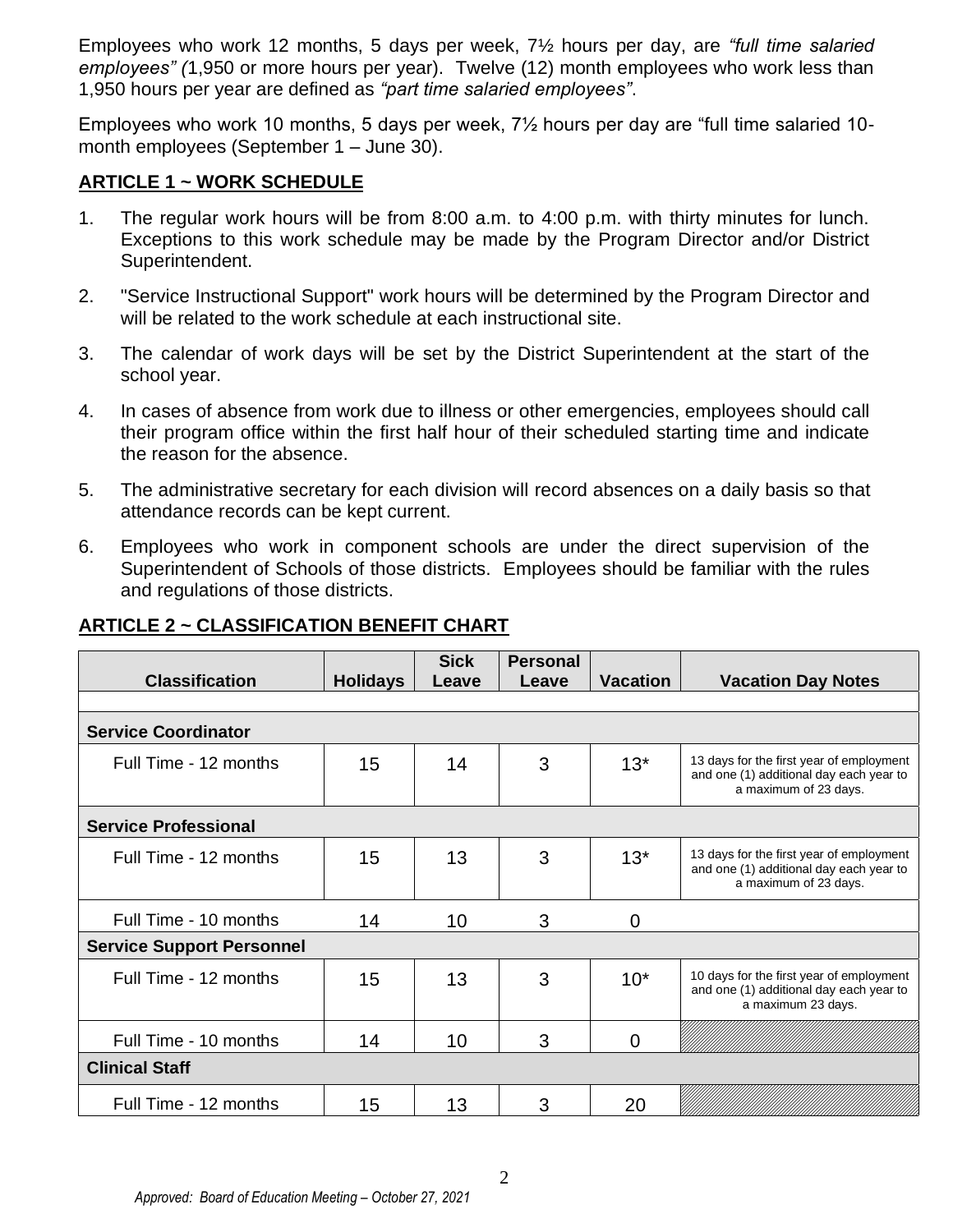Employees who work 12 months, 5 days per week, 7½ hours per day, are *"full time salaried employees" (*1,950 or more hours per year). Twelve (12) month employees who work less than 1,950 hours per year are defined as *"part time salaried employees"*.

Employees who work 10 months, 5 days per week, 7½ hours per day are "full time salaried 10 month employees (September 1 – June 30).

#### **ARTICLE 1 ~ WORK SCHEDULE**

- 1. The regular work hours will be from 8:00 a.m. to 4:00 p.m. with thirty minutes for lunch. Exceptions to this work schedule may be made by the Program Director and/or District Superintendent.
- 2. "Service Instructional Support" work hours will be determined by the Program Director and will be related to the work schedule at each instructional site.
- 3. The calendar of work days will be set by the District Superintendent at the start of the school year.
- 4. In cases of absence from work due to illness or other emergencies, employees should call their program office within the first half hour of their scheduled starting time and indicate the reason for the absence.
- 5. The administrative secretary for each division will record absences on a daily basis so that attendance records can be kept current.
- 6. Employees who work in component schools are under the direct supervision of the Superintendent of Schools of those districts. Employees should be familiar with the rules and regulations of those districts.

| <b>Classification</b>            | <b>Holidays</b> | <b>Sick</b><br>Leave | <b>Personal</b><br>Leave | <b>Vacation</b> | <b>Vacation Day Notes</b>                                                                                    |
|----------------------------------|-----------------|----------------------|--------------------------|-----------------|--------------------------------------------------------------------------------------------------------------|
|                                  |                 |                      |                          |                 |                                                                                                              |
| <b>Service Coordinator</b>       |                 |                      |                          |                 |                                                                                                              |
| Full Time - 12 months            | 15              | 14                   | 3                        | $13*$           | 13 days for the first year of employment<br>and one (1) additional day each year to<br>a maximum of 23 days. |
| <b>Service Professional</b>      |                 |                      |                          |                 |                                                                                                              |
| Full Time - 12 months            | 15              | 13                   | 3                        | $13*$           | 13 days for the first year of employment<br>and one (1) additional day each year to<br>a maximum of 23 days. |
| Full Time - 10 months            | 14              | 10                   | 3                        | $\mathbf 0$     |                                                                                                              |
| <b>Service Support Personnel</b> |                 |                      |                          |                 |                                                                                                              |
| Full Time - 12 months            | 15              | 13                   | 3                        | $10*$           | 10 days for the first year of employment<br>and one (1) additional day each year to<br>a maximum 23 days.    |
| Full Time - 10 months            | 14              | 10                   | 3                        | 0               |                                                                                                              |
| <b>Clinical Staff</b>            |                 |                      |                          |                 |                                                                                                              |
| Full Time - 12 months            | 15              | 13                   | 3                        | 20              |                                                                                                              |

# **ARTICLE 2 ~ CLASSIFICATION BENEFIT CHART**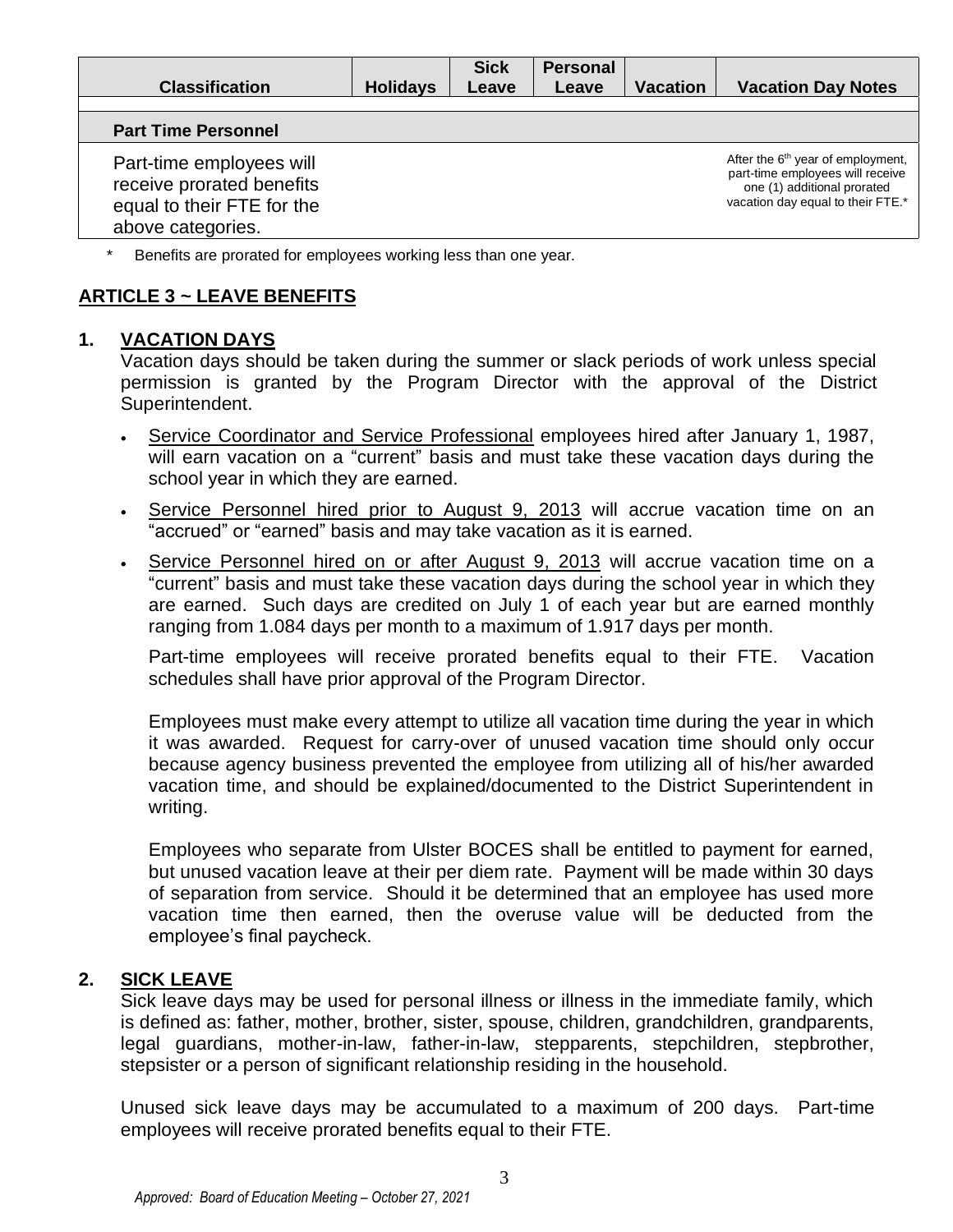| <b>Classification</b>                                                                                    | <b>Holidays</b> | <b>Sick</b><br>Leave | <b>Personal</b><br>Leave | <b>Vacation</b> | <b>Vacation Day Notes</b>                                                                                                                             |
|----------------------------------------------------------------------------------------------------------|-----------------|----------------------|--------------------------|-----------------|-------------------------------------------------------------------------------------------------------------------------------------------------------|
| <b>Part Time Personnel</b>                                                                               |                 |                      |                          |                 |                                                                                                                                                       |
| Part-time employees will<br>receive prorated benefits<br>equal to their FTE for the<br>above categories. |                 |                      |                          |                 | After the 6 <sup>th</sup> year of employment,<br>part-time employees will receive<br>one (1) additional prorated<br>vacation day equal to their FTE.* |

\* Benefits are prorated for employees working less than one year.

# **ARTICLE 3 ~ LEAVE BENEFITS**

#### **1. VACATION DAYS**

Vacation days should be taken during the summer or slack periods of work unless special permission is granted by the Program Director with the approval of the District Superintendent.

- Service Coordinator and Service Professional employees hired after January 1, 1987, will earn vacation on a "current" basis and must take these vacation days during the school year in which they are earned.
- Service Personnel hired prior to August 9, 2013 will accrue vacation time on an "accrued" or "earned" basis and may take vacation as it is earned.
- Service Personnel hired on or after August 9, 2013 will accrue vacation time on a "current" basis and must take these vacation days during the school year in which they are earned. Such days are credited on July 1 of each year but are earned monthly ranging from 1.084 days per month to a maximum of 1.917 days per month.

Part-time employees will receive prorated benefits equal to their FTE. Vacation schedules shall have prior approval of the Program Director.

Employees must make every attempt to utilize all vacation time during the year in which it was awarded. Request for carry-over of unused vacation time should only occur because agency business prevented the employee from utilizing all of his/her awarded vacation time, and should be explained/documented to the District Superintendent in writing.

Employees who separate from Ulster BOCES shall be entitled to payment for earned, but unused vacation leave at their per diem rate. Payment will be made within 30 days of separation from service. Should it be determined that an employee has used more vacation time then earned, then the overuse value will be deducted from the employee's final paycheck.

#### **2. SICK LEAVE**

Sick leave days may be used for personal illness or illness in the immediate family, which is defined as: father, mother, brother, sister, spouse, children, grandchildren, grandparents, legal guardians, mother-in-law, father-in-law, stepparents, stepchildren, stepbrother, stepsister or a person of significant relationship residing in the household.

Unused sick leave days may be accumulated to a maximum of 200 days. Part-time employees will receive prorated benefits equal to their FTE.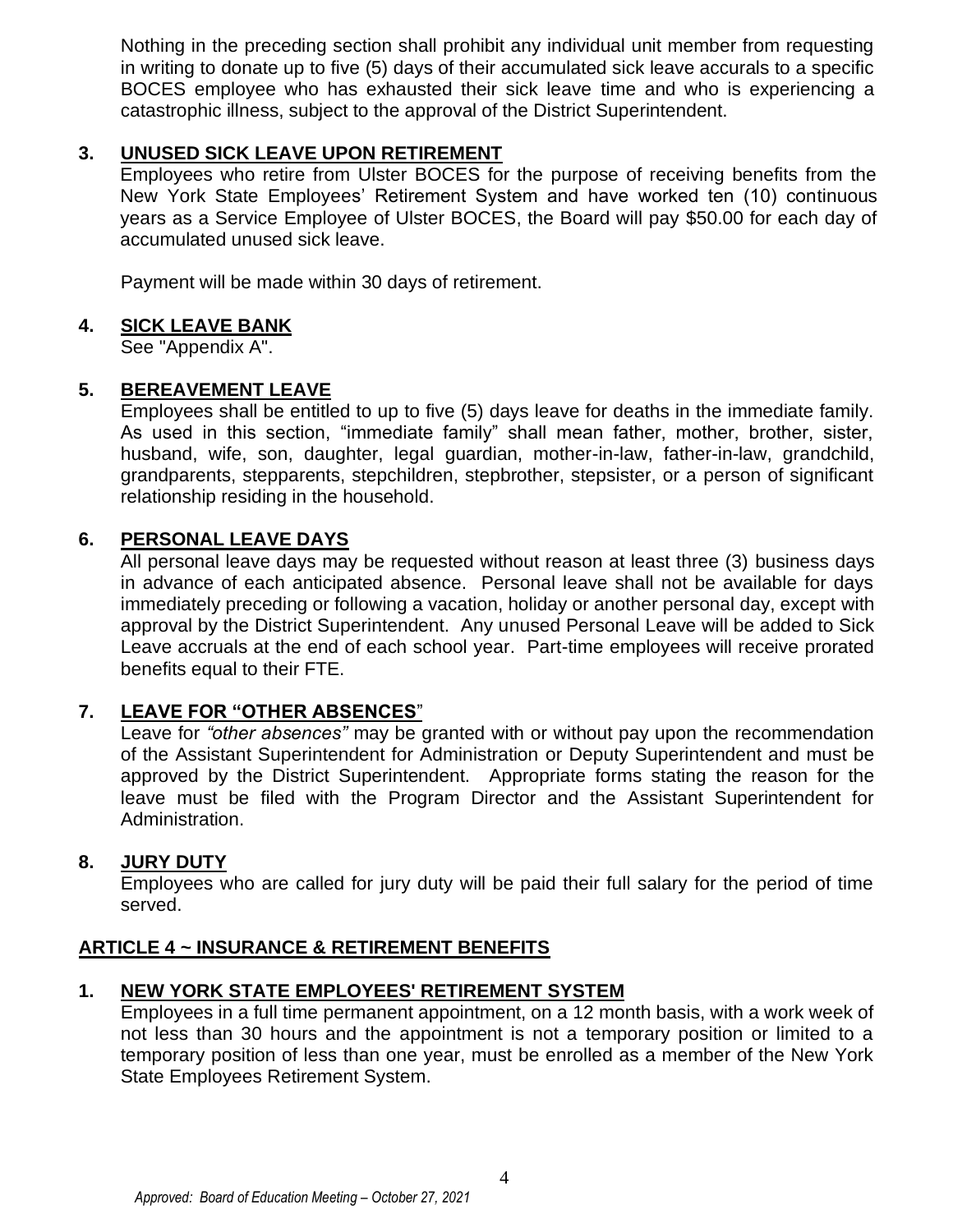Nothing in the preceding section shall prohibit any individual unit member from requesting in writing to donate up to five (5) days of their accumulated sick leave accurals to a specific BOCES employee who has exhausted their sick leave time and who is experiencing a catastrophic illness, subject to the approval of the District Superintendent.

## **3. UNUSED SICK LEAVE UPON RETIREMENT**

Employees who retire from Ulster BOCES for the purpose of receiving benefits from the New York State Employees' Retirement System and have worked ten (10) continuous years as a Service Employee of Ulster BOCES, the Board will pay \$50.00 for each day of accumulated unused sick leave.

Payment will be made within 30 days of retirement.

#### **4. SICK LEAVE BANK**

See "Appendix A".

## **5. BEREAVEMENT LEAVE**

Employees shall be entitled to up to five (5) days leave for deaths in the immediate family. As used in this section, "immediate family" shall mean father, mother, brother, sister, husband, wife, son, daughter, legal guardian, mother-in-law, father-in-law, grandchild, grandparents, stepparents, stepchildren, stepbrother, stepsister, or a person of significant relationship residing in the household.

## **6. PERSONAL LEAVE DAYS**

All personal leave days may be requested without reason at least three (3) business days in advance of each anticipated absence. Personal leave shall not be available for days immediately preceding or following a vacation, holiday or another personal day, except with approval by the District Superintendent. Any unused Personal Leave will be added to Sick Leave accruals at the end of each school year. Part-time employees will receive prorated benefits equal to their FTE.

## **7. LEAVE FOR "OTHER ABSENCES**"

Leave for *"other absences"* may be granted with or without pay upon the recommendation of the Assistant Superintendent for Administration or Deputy Superintendent and must be approved by the District Superintendent. Appropriate forms stating the reason for the leave must be filed with the Program Director and the Assistant Superintendent for Administration.

#### **8. JURY DUTY**

Employees who are called for jury duty will be paid their full salary for the period of time served.

#### **ARTICLE 4 ~ INSURANCE & RETIREMENT BENEFITS**

#### **1. NEW YORK STATE EMPLOYEES' RETIREMENT SYSTEM**

Employees in a full time permanent appointment, on a 12 month basis, with a work week of not less than 30 hours and the appointment is not a temporary position or limited to a temporary position of less than one year, must be enrolled as a member of the New York State Employees Retirement System.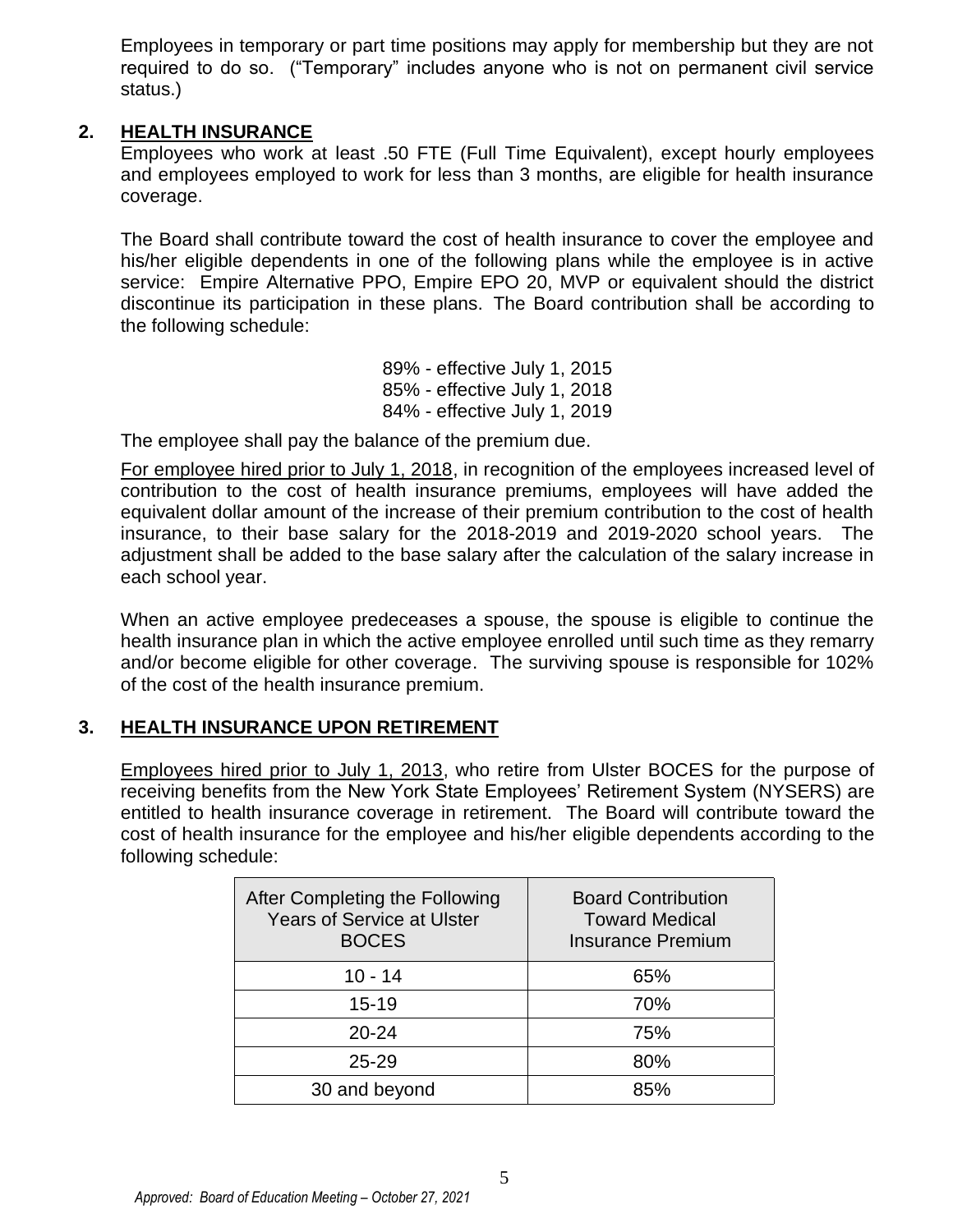Employees in temporary or part time positions may apply for membership but they are not required to do so. ("Temporary" includes anyone who is not on permanent civil service status.)

## **2. HEALTH INSURANCE**

Employees who work at least .50 FTE (Full Time Equivalent), except hourly employees and employees employed to work for less than 3 months, are eligible for health insurance coverage.

The Board shall contribute toward the cost of health insurance to cover the employee and his/her eligible dependents in one of the following plans while the employee is in active service: Empire Alternative PPO, Empire EPO 20, MVP or equivalent should the district discontinue its participation in these plans. The Board contribution shall be according to the following schedule:

> 89% - effective July 1, 2015 85% - effective July 1, 2018 84% - effective July 1, 2019

The employee shall pay the balance of the premium due.

For employee hired prior to July 1, 2018, in recognition of the employees increased level of contribution to the cost of health insurance premiums, employees will have added the equivalent dollar amount of the increase of their premium contribution to the cost of health insurance, to their base salary for the 2018-2019 and 2019-2020 school years. The adjustment shall be added to the base salary after the calculation of the salary increase in each school year.

When an active employee predeceases a spouse, the spouse is eligible to continue the health insurance plan in which the active employee enrolled until such time as they remarry and/or become eligible for other coverage. The surviving spouse is responsible for 102% of the cost of the health insurance premium.

#### **3. HEALTH INSURANCE UPON RETIREMENT**

Employees hired prior to July 1, 2013, who retire from Ulster BOCES for the purpose of receiving benefits from the New York State Employees' Retirement System (NYSERS) are entitled to health insurance coverage in retirement. The Board will contribute toward the cost of health insurance for the employee and his/her eligible dependents according to the following schedule:

| After Completing the Following<br><b>Years of Service at Ulster</b><br><b>BOCES</b> | <b>Board Contribution</b><br><b>Toward Medical</b><br><b>Insurance Premium</b> |
|-------------------------------------------------------------------------------------|--------------------------------------------------------------------------------|
| $10 - 14$                                                                           | 65%                                                                            |
| $15 - 19$                                                                           | 70%                                                                            |
| $20 - 24$                                                                           | 75%                                                                            |
| $25 - 29$                                                                           | 80%                                                                            |
| 30 and beyond                                                                       | 85%                                                                            |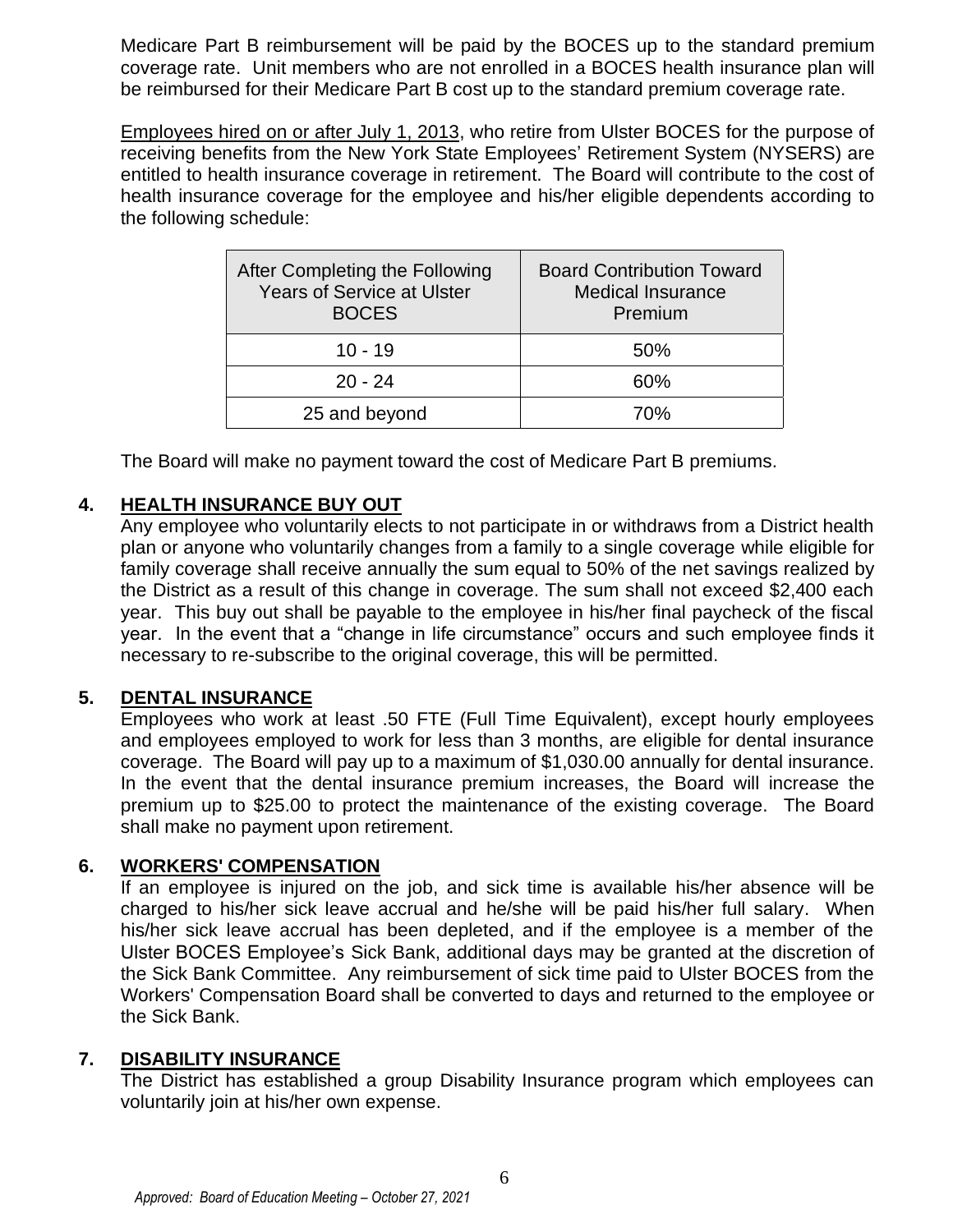Medicare Part B reimbursement will be paid by the BOCES up to the standard premium coverage rate. Unit members who are not enrolled in a BOCES health insurance plan will be reimbursed for their Medicare Part B cost up to the standard premium coverage rate.

Employees hired on or after July 1, 2013, who retire from Ulster BOCES for the purpose of receiving benefits from the New York State Employees' Retirement System (NYSERS) are entitled to health insurance coverage in retirement. The Board will contribute to the cost of health insurance coverage for the employee and his/her eligible dependents according to the following schedule:

| After Completing the Following<br><b>Years of Service at Ulster</b><br><b>BOCES</b> | <b>Board Contribution Toward</b><br><b>Medical Insurance</b><br>Premium |  |  |
|-------------------------------------------------------------------------------------|-------------------------------------------------------------------------|--|--|
| $10 - 19$                                                                           | 50%                                                                     |  |  |
| $20 - 24$                                                                           | 60%                                                                     |  |  |
| 25 and beyond                                                                       | 70%                                                                     |  |  |

The Board will make no payment toward the cost of Medicare Part B premiums.

## **4. HEALTH INSURANCE BUY OUT**

Any employee who voluntarily elects to not participate in or withdraws from a District health plan or anyone who voluntarily changes from a family to a single coverage while eligible for family coverage shall receive annually the sum equal to 50% of the net savings realized by the District as a result of this change in coverage. The sum shall not exceed \$2,400 each year. This buy out shall be payable to the employee in his/her final paycheck of the fiscal year. In the event that a "change in life circumstance" occurs and such employee finds it necessary to re-subscribe to the original coverage, this will be permitted.

#### **5. DENTAL INSURANCE**

Employees who work at least .50 FTE (Full Time Equivalent), except hourly employees and employees employed to work for less than 3 months, are eligible for dental insurance coverage. The Board will pay up to a maximum of \$1,030.00 annually for dental insurance. In the event that the dental insurance premium increases, the Board will increase the premium up to \$25.00 to protect the maintenance of the existing coverage. The Board shall make no payment upon retirement.

#### **6. WORKERS' COMPENSATION**

If an employee is injured on the job, and sick time is available his/her absence will be charged to his/her sick leave accrual and he/she will be paid his/her full salary. When his/her sick leave accrual has been depleted, and if the employee is a member of the Ulster BOCES Employee's Sick Bank, additional days may be granted at the discretion of the Sick Bank Committee. Any reimbursement of sick time paid to Ulster BOCES from the Workers' Compensation Board shall be converted to days and returned to the employee or the Sick Bank.

#### **7. DISABILITY INSURANCE**

The District has established a group Disability Insurance program which employees can voluntarily join at his/her own expense.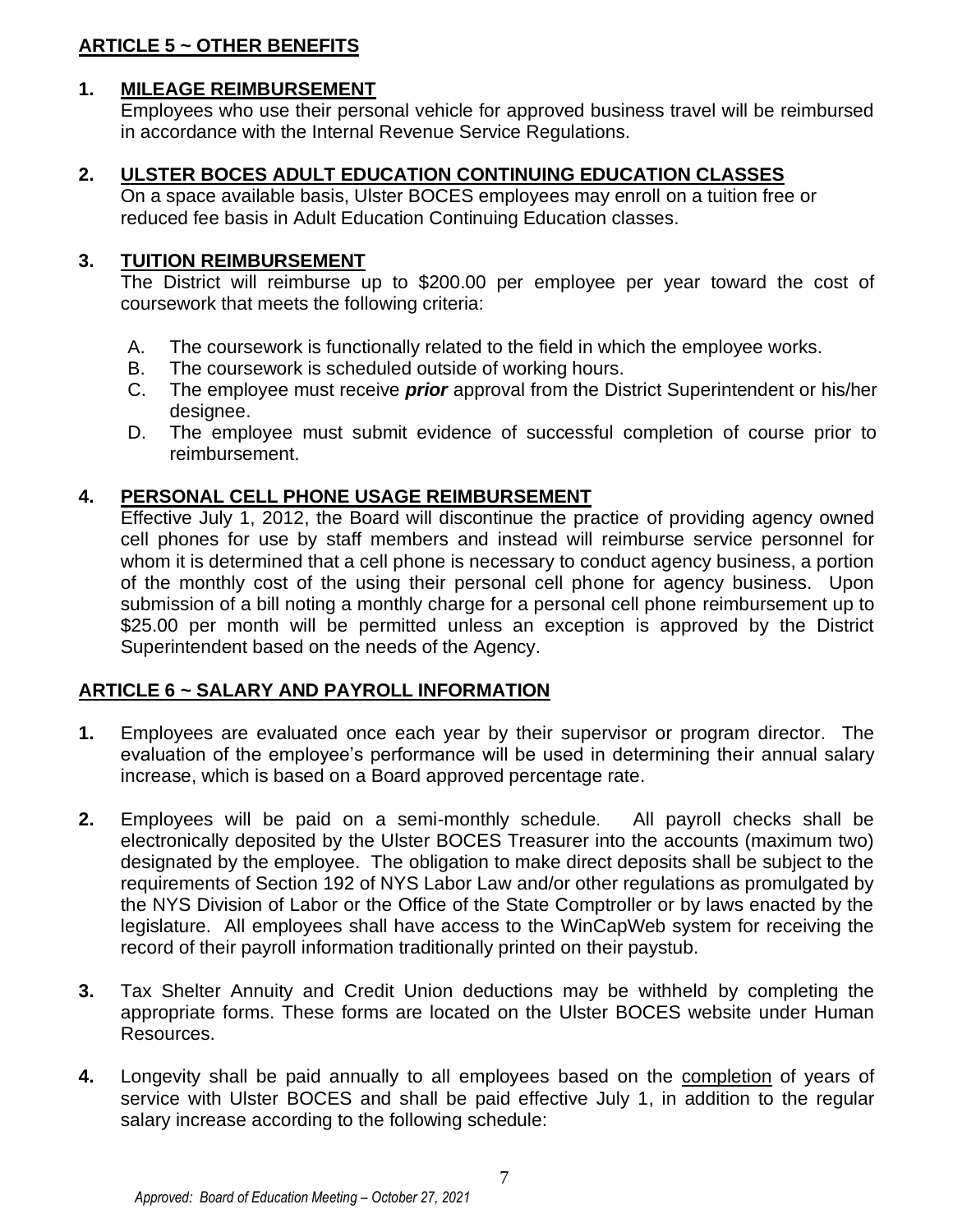# **ARTICLE 5 ~ OTHER BENEFITS**

# **1. MILEAGE REIMBURSEMENT**

Employees who use their personal vehicle for approved business travel will be reimbursed in accordance with the Internal Revenue Service Regulations.

# **2. ULSTER BOCES ADULT EDUCATION CONTINUING EDUCATION CLASSES**

On a space available basis, Ulster BOCES employees may enroll on a tuition free or reduced fee basis in Adult Education Continuing Education classes.

# **3. TUITION REIMBURSEMENT**

The District will reimburse up to \$200.00 per employee per year toward the cost of coursework that meets the following criteria:

- A. The coursework is functionally related to the field in which the employee works.
- B. The coursework is scheduled outside of working hours.
- C. The employee must receive *prior* approval from the District Superintendent or his/her designee.
- D. The employee must submit evidence of successful completion of course prior to reimbursement.

# **4. PERSONAL CELL PHONE USAGE REIMBURSEMENT**

Effective July 1, 2012, the Board will discontinue the practice of providing agency owned cell phones for use by staff members and instead will reimburse service personnel for whom it is determined that a cell phone is necessary to conduct agency business, a portion of the monthly cost of the using their personal cell phone for agency business. Upon submission of a bill noting a monthly charge for a personal cell phone reimbursement up to \$25.00 per month will be permitted unless an exception is approved by the District Superintendent based on the needs of the Agency.

## **ARTICLE 6 ~ SALARY AND PAYROLL INFORMATION**

- **1.** Employees are evaluated once each year by their supervisor or program director. The evaluation of the employee's performance will be used in determining their annual salary increase, which is based on a Board approved percentage rate.
- **2.** Employees will be paid on a semi-monthly schedule. All payroll checks shall be electronically deposited by the Ulster BOCES Treasurer into the accounts (maximum two) designated by the employee. The obligation to make direct deposits shall be subject to the requirements of Section 192 of NYS Labor Law and/or other regulations as promulgated by the NYS Division of Labor or the Office of the State Comptroller or by laws enacted by the legislature. All employees shall have access to the WinCapWeb system for receiving the record of their payroll information traditionally printed on their paystub.
- **3.** Tax Shelter Annuity and Credit Union deductions may be withheld by completing the appropriate forms. These forms are located on the Ulster BOCES website under Human Resources.
- **4.** Longevity shall be paid annually to all employees based on the completion of years of service with Ulster BOCES and shall be paid effective July 1, in addition to the regular salary increase according to the following schedule: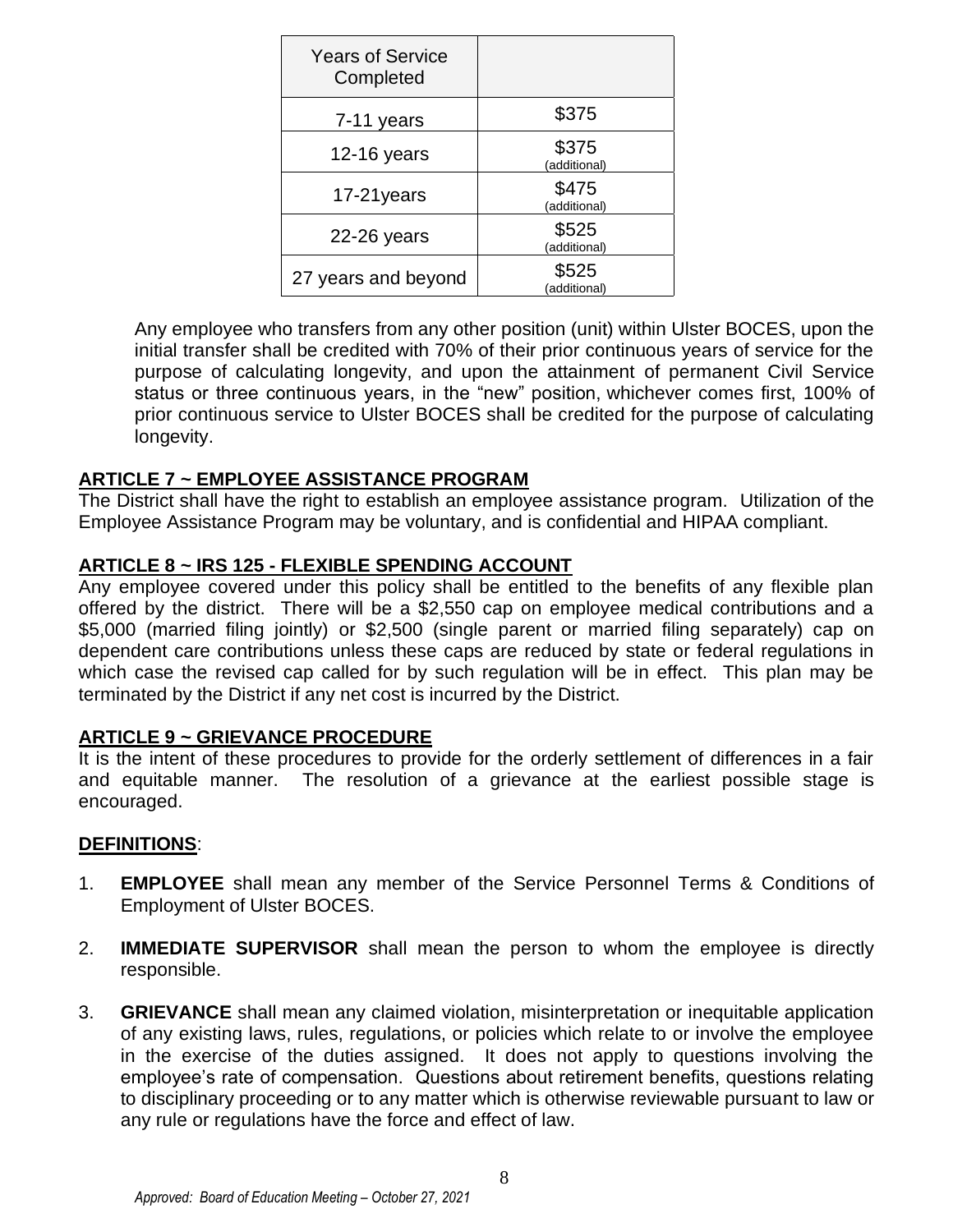| <b>Years of Service</b><br>Completed |                       |
|--------------------------------------|-----------------------|
| 7-11 years                           | \$375                 |
| $12-16$ years                        | \$375<br>(additional) |
| 17-21years                           | \$475<br>(additional) |
| $22-26$ years                        | \$525<br>(additional) |
| 27 years and beyond                  | \$525<br>(additional) |

Any employee who transfers from any other position (unit) within Ulster BOCES, upon the initial transfer shall be credited with 70% of their prior continuous years of service for the purpose of calculating longevity, and upon the attainment of permanent Civil Service status or three continuous years, in the "new" position, whichever comes first, 100% of prior continuous service to Ulster BOCES shall be credited for the purpose of calculating longevity.

## **ARTICLE 7 ~ EMPLOYEE ASSISTANCE PROGRAM**

The District shall have the right to establish an employee assistance program. Utilization of the Employee Assistance Program may be voluntary, and is confidential and HIPAA compliant.

## **ARTICLE 8 ~ IRS 125 - FLEXIBLE SPENDING ACCOUNT**

Any employee covered under this policy shall be entitled to the benefits of any flexible plan offered by the district. There will be a \$2,550 cap on employee medical contributions and a \$5,000 (married filing jointly) or \$2,500 (single parent or married filing separately) cap on dependent care contributions unless these caps are reduced by state or federal regulations in which case the revised cap called for by such regulation will be in effect. This plan may be terminated by the District if any net cost is incurred by the District.

#### **ARTICLE 9 ~ GRIEVANCE PROCEDURE**

It is the intent of these procedures to provide for the orderly settlement of differences in a fair and equitable manner. The resolution of a grievance at the earliest possible stage is encouraged.

#### **DEFINITIONS**:

- 1. **EMPLOYEE** shall mean any member of the Service Personnel Terms & Conditions of Employment of Ulster BOCES.
- 2. **IMMEDIATE SUPERVISOR** shall mean the person to whom the employee is directly responsible.
- 3. **GRIEVANCE** shall mean any claimed violation, misinterpretation or inequitable application of any existing laws, rules, regulations, or policies which relate to or involve the employee in the exercise of the duties assigned. It does not apply to questions involving the employee's rate of compensation. Questions about retirement benefits, questions relating to disciplinary proceeding or to any matter which is otherwise reviewable pursuant to law or any rule or regulations have the force and effect of law.